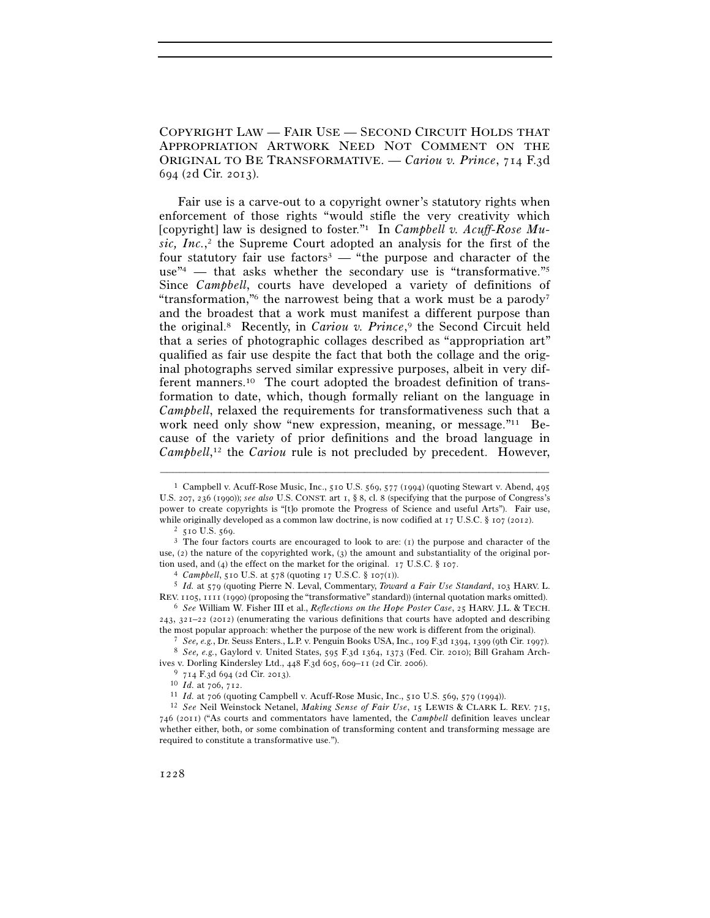COPYRIGHT LAW — FAIR USE — SECOND CIRCUIT HOLDS THAT APPROPRIATION ARTWORK NEED NOT COMMENT ON THE ORIGINAL TO BE TRANSFORMATIVE. — *Cariou v. Prince*, 714 F.3d 694 (2d Cir. 2013).

Fair use is a carve-out to a copyright owner's statutory rights when enforcement of those rights "would stifle the very creativity which [copyright] law is designed to foster."1 In *Campbell v. Acuff-Rose Music, Inc.*, 2 the Supreme Court adopted an analysis for the first of the four statutory fair use factors<sup>3</sup> — "the purpose and character of the use<sup> $n_{4}$ </sup> — that asks whether the secondary use is "transformative."<sup>5</sup> Since *Campbell*, courts have developed a variety of definitions of "transformation," the narrowest being that a work must be a parody" and the broadest that a work must manifest a different purpose than the original.8 Recently, in *Cariou v. Prince*, 9 the Second Circuit held that a series of photographic collages described as "appropriation art" qualified as fair use despite the fact that both the collage and the original photographs served similar expressive purposes, albeit in very different manners.10 The court adopted the broadest definition of transformation to date, which, though formally reliant on the language in *Campbell*, relaxed the requirements for transformativeness such that a work need only show "new expression, meaning, or message."11 Because of the variety of prior definitions and the broad language in Campbell,<sup>12</sup> the *Cariou* rule is not precluded by precedent. However,

–––––––––––––––––––––––––––––––––––––––––––––––––––––––––––––

REV. <sup>1105</sup>, 1111 (1990) (proposing the "transformative" standard)) (internal quotation marks omitted). 6 *See* William W. Fisher III et al., *Reflections on the Hope Poster Case*, 25 HARV. J.L. & TECH.

<sup>1</sup> Campbell v. Acuff-Rose Music, Inc., 510 U.S. 569, 577 (1994) (quoting Stewart v. Abend, 495 U.S. 207, 236 (1990)); *see also* U.S. CONST. art 1, § 8, cl. 8 (specifying that the purpose of Congress's power to create copyrights is "[t]o promote the Progress of Science and useful Arts"). Fair use, while originally developed as a common law doctrine, is now codified at 17 U.S.C. § 107 (2012).<br><sup>2</sup> 510 U.S. 569. <sup>3</sup> The four factors courts are encouraged to look to are: (1) the purpose and character of the

use, (2) the nature of the copyrighted work, (3) the amount and substantiality of the original portion used, and (4) the effect on the market for the original. 17 U.S.C. § 107.<br>
<sup>4</sup> *Campbell*, 510 U.S. at 578 (quoting 17 U.S.C. § 107(1)).<br>
<sup>5</sup> *Id.* at 579 (quoting Pierre N. Leval, Commentary, *Toward a Fair Use Stan* 

 $243$ ,  $321-22$  ( $2012$ ) (enumerating the various definitions that courts have adopted and describing the most popular approach: whether the purpose of the new work is different from the original).

<sup>&</sup>lt;sup>7</sup> See, e.g., Dr. Seuss Enters., L.P. v. Penguin Books USA, Inc., 109 F.3d 1394, 1399 (9th Cir. 1997).<br><sup>8</sup> See, e.g., Gaylord v. United States, 595 F.3d 1364, 1373 (Fed. Cir. 2010); Bill Graham Archives v. Dorling Kindersley Ltd., 448 F.3d 605, 609–11 (2d Cir. 2006).<br><sup>9</sup> 714 F.3d 694 (2d Cir. 2013).<br><sup>10</sup> Id. at 706, 712.<br><sup>11</sup> Id. at 706 (quoting Campbell v. Acuff-Rose Music, Inc., 510 U.S. 569, 579 (1994)).<br><sup>12</sup> *See* 

<sup>746</sup> (2011) ("As courts and commentators have lamented, the *Campbell* definition leaves unclear whether either, both, or some combination of transforming content and transforming message are required to constitute a transformative use.").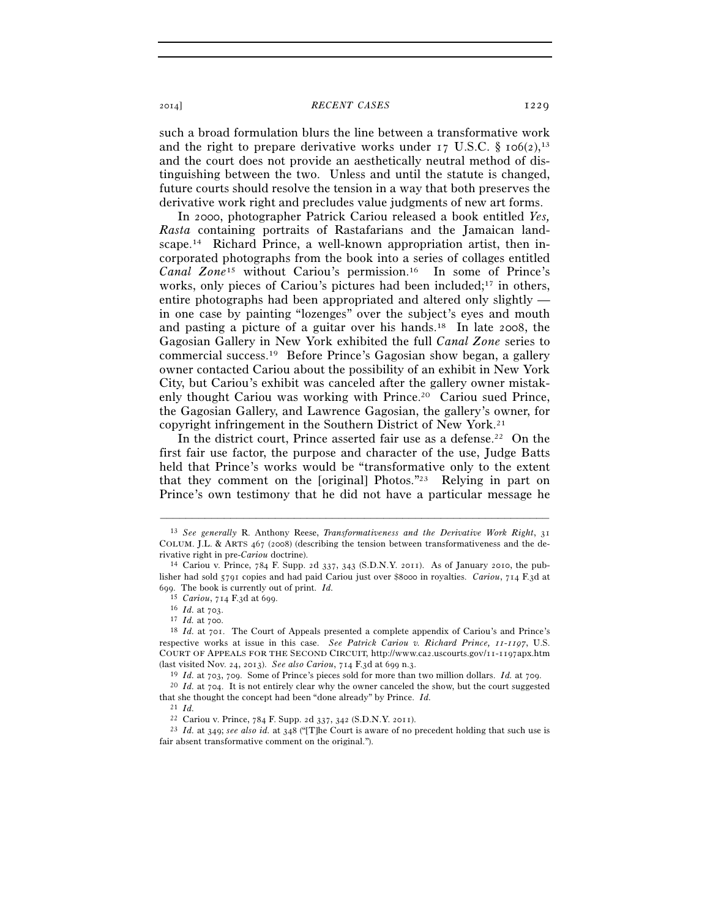## 2014] *RECENT CASES* 1229

such a broad formulation blurs the line between a transformative work and the right to prepare derivative works under  $17 \text{ U.S.C. }$  §  $10^{6}(2)$ ,  $13$ and the court does not provide an aesthetically neutral method of distinguishing between the two. Unless and until the statute is changed, future courts should resolve the tension in a way that both preserves the derivative work right and precludes value judgments of new art forms.

In 2000, photographer Patrick Cariou released a book entitled *Yes, Rasta* containing portraits of Rastafarians and the Jamaican landscape.14 Richard Prince, a well-known appropriation artist, then incorporated photographs from the book into a series of collages entitled *Canal Zone*15 without Cariou's permission.16 In some of Prince's works, only pieces of Cariou's pictures had been included;<sup>17</sup> in others, entire photographs had been appropriated and altered only slightly in one case by painting "lozenges" over the subject's eyes and mouth and pasting a picture of a guitar over his hands.18 In late 2008, the Gagosian Gallery in New York exhibited the full *Canal Zone* series to commercial success.19 Before Prince's Gagosian show began, a gallery owner contacted Cariou about the possibility of an exhibit in New York City, but Cariou's exhibit was canceled after the gallery owner mistakenly thought Cariou was working with Prince.<sup>20</sup> Cariou sued Prince, the Gagosian Gallery, and Lawrence Gagosian, the gallery's owner, for copyright infringement in the Southern District of New York.21

In the district court, Prince asserted fair use as a defense.<sup>22</sup> On the first fair use factor, the purpose and character of the use, Judge Batts held that Prince's works would be "transformative only to the extent that they comment on the [original] Photos."23 Relying in part on Prince's own testimony that he did not have a particular message he

<sup>13</sup> *See generally* R. Anthony Reese, *Transformativeness and the Derivative Work Right*, 31 COLUM. J.L. & ARTS  $467$  (2008) (describing the tension between transformativeness and the de-<br>rivative right in pre-*Cariou* doctrine).

<sup>&</sup>lt;sup>14</sup> Cariou v. Prince, 784 F. Supp. 2d 337, 343 (S.D.N.Y. 2011). As of January 2010, the publisher had sold 5791 copies and had paid Cariou just over \$8000 in royalties. *Cariou*, 714 F.3d at 699. The book is currently out of print.  $Id.$ <sup>15</sup> *Cariou*,  $714$  F.3d at 699.

<sup>16</sup> *Id.* at 703.<br><sup>17</sup> *Id.* at 700.<br><sup>18</sup> *Id.* at 701. The Court of Appeals presented a complete appendix of Cariou's and Prince's respective works at issue in this case. *See Patrick Cariou v. Richard Prince, 11-1197*, U.S. COURT OF APPEALS FOR THE SECOND CIRCUIT, http://www.ca2.uscourts.gov/11-1197apx.htm (last visited Nov. 24, 2013). *See also Cariou*, 714 F.3d at 699 n.3.

<sup>19</sup> *Id.* at 703, 709. Some of Prince's pieces sold for more than two million dollars. *Id.* at 709. 20 *Id.* at 704. It is not entirely clear why the owner canceled the show, but the court suggested

that she thought the concept had been "done already" by Prince. *Id.*

<sup>&</sup>lt;sup>21</sup> *Id.* **Carlou v. Prince, 784 F. Supp. 2d 337, 342 (S.D.N.Y. 2011).** 

<sup>&</sup>lt;sup>23</sup> Id. at 349; see also *id.* at 348 ("[T]he Court is aware of no precedent holding that such use is fair absent transformative comment on the original.").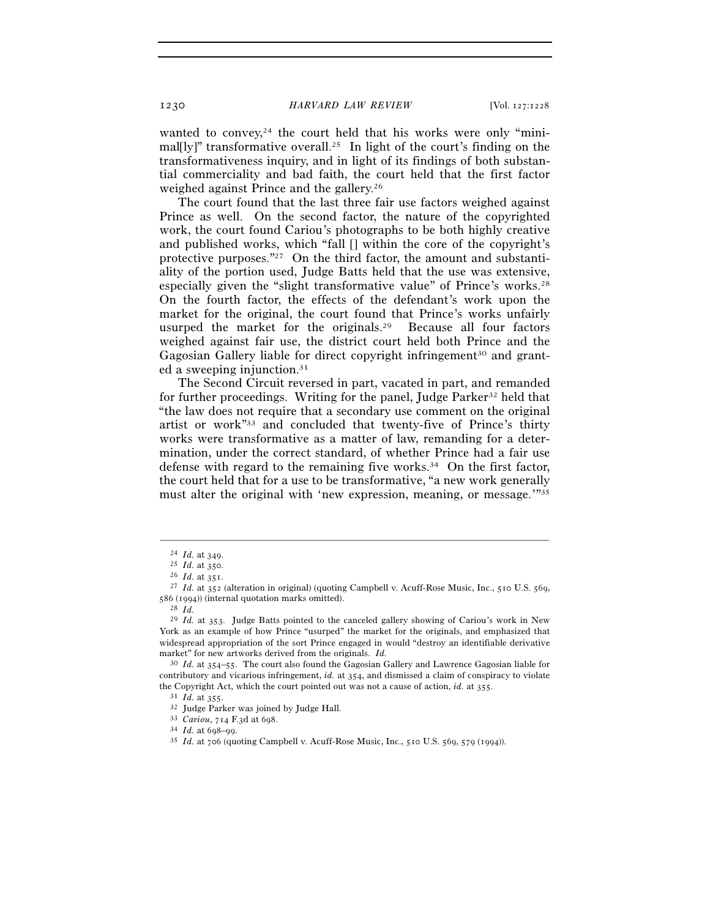1230 *HARVARD LAW REVIEW* [Vol. 127:1228

wanted to convey, $24$  the court held that his works were only "minimal[ly]" transformative overall.<sup>25</sup> In light of the court's finding on the transformativeness inquiry, and in light of its findings of both substantial commerciality and bad faith, the court held that the first factor weighed against Prince and the gallery.26

The court found that the last three fair use factors weighed against Prince as well. On the second factor, the nature of the copyrighted work, the court found Cariou's photographs to be both highly creative and published works, which "fall [] within the core of the copyright's protective purposes."27 On the third factor, the amount and substantiality of the portion used, Judge Batts held that the use was extensive, especially given the "slight transformative value" of Prince's works.28 On the fourth factor, the effects of the defendant's work upon the market for the original, the court found that Prince's works unfairly usurped the market for the originals.29 Because all four factors weighed against fair use, the district court held both Prince and the Gagosian Gallery liable for direct copyright infringement<sup>30</sup> and granted a sweeping injunction.31

The Second Circuit reversed in part, vacated in part, and remanded for further proceedings. Writing for the panel, Judge Parker<sup>32</sup> held that "the law does not require that a secondary use comment on the original artist or work"33 and concluded that twenty-five of Prince's thirty works were transformative as a matter of law, remanding for a determination, under the correct standard, of whether Prince had a fair use defense with regard to the remaining five works.<sup>34</sup> On the first factor, the court held that for a use to be transformative, "a new work generally must alter the original with 'new expression, meaning, or message.'"35

<sup>24</sup> *Id.* at 349. 25 *Id.* at 350. 26 *Id.* at 351. 27 *Id.* at 352 (alteration in original) (quoting Campbell v. Acuff-Rose Music, Inc., 510 U.S. 569, <sup>586</sup> (1994)) (internal quotation marks omitted). 28 *Id.*

<sup>29</sup> *Id.* at 353. Judge Batts pointed to the canceled gallery showing of Cariou's work in New York as an example of how Prince "usurped" the market for the originals, and emphasized that widespread appropriation of the sort Prince engaged in would "destroy an identifiable derivative market" for new artworks derived from the originals. *Id.*

<sup>30</sup> *Id.* at 354–55. The court also found the Gagosian Gallery and Lawrence Gagosian liable for contributory and vicarious infringement, *id.* at 354, and dismissed a claim of conspiracy to violate the Copyright Act, which the court pointed out was not a cause of action, *id.* at 355.

<sup>&</sup>lt;sup>31</sup> *Id.* at 355.<br><sup>32</sup> Judge Parker was joined by Judge Hall.<br><sup>33</sup> *Cariou*,  $714$  F.3d at 698.<br><sup>34</sup> *Id.* at 698–99.<br><sup>35</sup> *Id.* at 706 (quoting Campbell v. Acuff-Rose Music, Inc., 510 U.S. 569, 579 (1994)).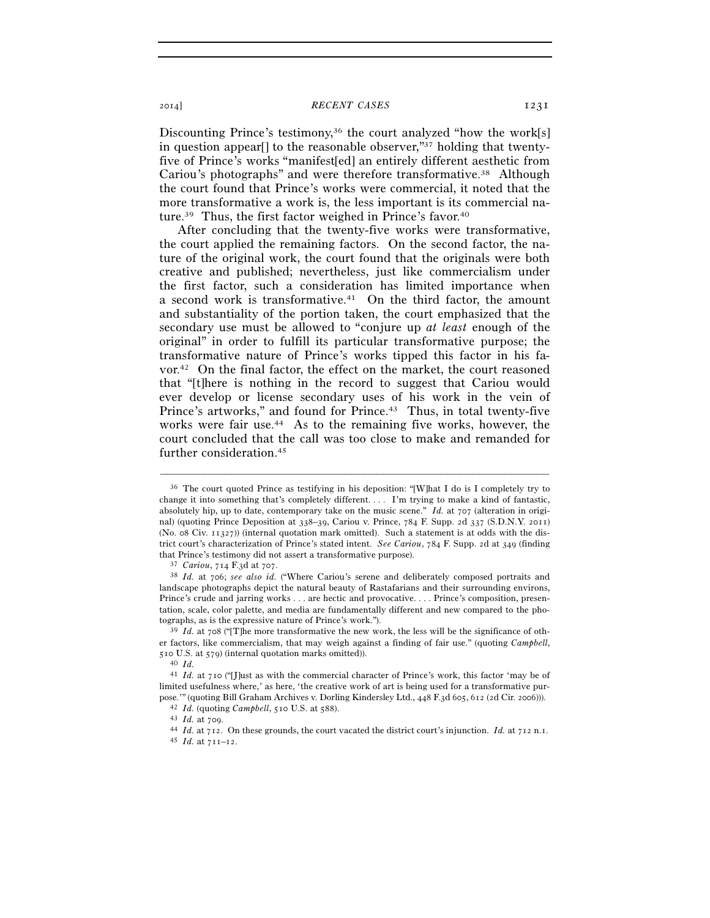2014] *RECENT CASES* 1231

Discounting Prince's testimony,<sup>36</sup> the court analyzed "how the work[s] in question appear<sup>[]</sup> to the reasonable observer,<sup> $\frac{37}{7}$ </sup> holding that twentyfive of Prince's works "manifest[ed] an entirely different aesthetic from Cariou's photographs" and were therefore transformative.38 Although the court found that Prince's works were commercial, it noted that the more transformative a work is, the less important is its commercial nature.<sup>39</sup> Thus, the first factor weighed in Prince's favor.<sup>40</sup>

After concluding that the twenty-five works were transformative, the court applied the remaining factors. On the second factor, the nature of the original work, the court found that the originals were both creative and published; nevertheless, just like commercialism under the first factor, such a consideration has limited importance when a second work is transformative.41 On the third factor, the amount and substantiality of the portion taken, the court emphasized that the secondary use must be allowed to "conjure up *at least* enough of the original" in order to fulfill its particular transformative purpose; the transformative nature of Prince's works tipped this factor in his favor.42 On the final factor, the effect on the market, the court reasoned that "[t]here is nothing in the record to suggest that Cariou would ever develop or license secondary uses of his work in the vein of Prince's artworks," and found for Prince.<sup>43</sup> Thus, in total twenty-five works were fair use.44 As to the remaining five works, however, the court concluded that the call was too close to make and remanded for further consideration.45

<sup>36</sup> The court quoted Prince as testifying in his deposition: "[W]hat I do is I completely try to change it into something that's completely different. . . . I'm trying to make a kind of fantastic, absolutely hip, up to date, contemporary take on the music scene." *Id.* at 707 (alteration in original) (quoting Prince Deposition at 338–39, Cariou v. Prince, 784 F. Supp. 2d 337 (S.D.N.Y. 2011) (No. 08 Civ. 11327)) (internal quotation mark omitted). Such a statement is at odds with the district court's characterization of Prince's stated intent. *See Cariou*, 784 F. Supp. 2d at 349 (finding

<sup>&</sup>lt;sup>37</sup> *Cariou*, 714 F.3d at 707.<br><sup>38</sup> *Id.* at 706; *see also id.* ("Where Cariou's serene and deliberately composed portraits and landscape photographs depict the natural beauty of Rastafarians and their surrounding environs, Prince's crude and jarring works . . . are hectic and provocative. . . . Prince's composition, presentation, scale, color palette, and media are fundamentally different and new compared to the photographs, as is the expressive nature of Prince's work."). 39 *Id.* at 708 ("[T]he more transformative the new work, the less will be the significance of oth-

er factors, like commercialism, that may weigh against a finding of fair use." (quoting *Campbell*, 510 U.S. at 579) (internal quotation marks omitted)).  $^{40}$  *Id.* 

<sup>41</sup> *Id.* at 710 ("[J]ust as with the commercial character of Prince's work, this factor 'may be of limited usefulness where,' as here, 'the creative work of art is being used for a transformative pur-

pose." (quoting Bill Graham Archives v. Dorling Kindersley Ltd., 448 F.3d 605, 612 (2d Cir. 2006))).<br><sup>42</sup> *Id.* (quoting *Campbell*, 510 U.S. at 588).<br><sup>43</sup> *Id.* at 709.<br><sup>44</sup> *Id.* at 712. On these grounds, the court vaca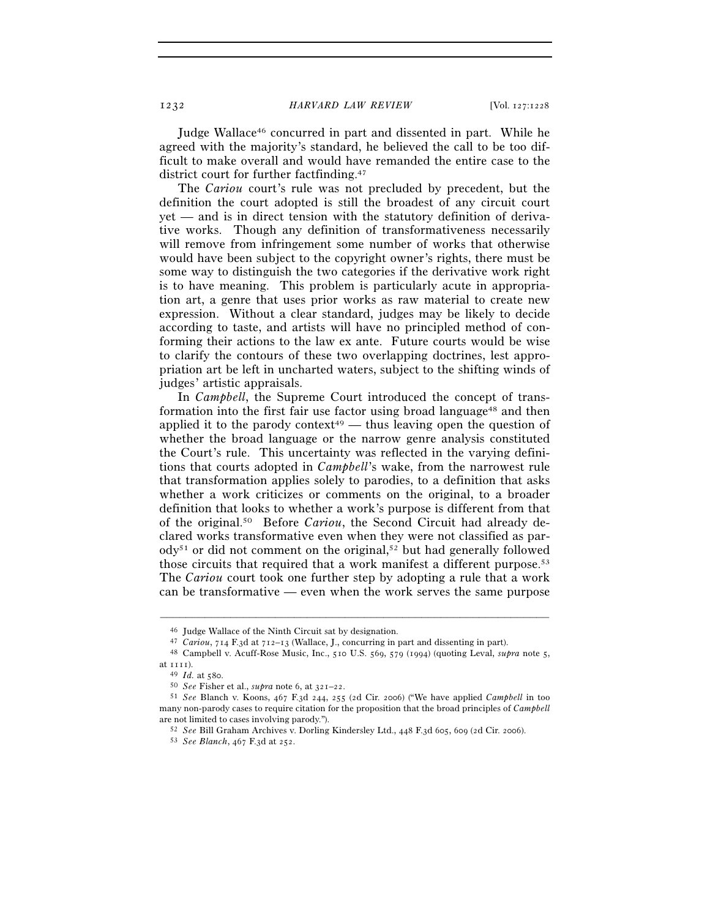Judge Wallace46 concurred in part and dissented in part. While he agreed with the majority's standard, he believed the call to be too difficult to make overall and would have remanded the entire case to the district court for further factfinding.47

The *Cariou* court's rule was not precluded by precedent, but the definition the court adopted is still the broadest of any circuit court yet — and is in direct tension with the statutory definition of derivative works. Though any definition of transformativeness necessarily will remove from infringement some number of works that otherwise would have been subject to the copyright owner's rights, there must be some way to distinguish the two categories if the derivative work right is to have meaning. This problem is particularly acute in appropriation art, a genre that uses prior works as raw material to create new expression. Without a clear standard, judges may be likely to decide according to taste, and artists will have no principled method of conforming their actions to the law ex ante. Future courts would be wise to clarify the contours of these two overlapping doctrines, lest appropriation art be left in uncharted waters, subject to the shifting winds of judges' artistic appraisals.

In *Campbell*, the Supreme Court introduced the concept of transformation into the first fair use factor using broad language<sup>48</sup> and then applied it to the parody context<sup>49</sup> — thus leaving open the question of whether the broad language or the narrow genre analysis constituted the Court's rule. This uncertainty was reflected in the varying definitions that courts adopted in *Campbell*'s wake, from the narrowest rule that transformation applies solely to parodies, to a definition that asks whether a work criticizes or comments on the original, to a broader definition that looks to whether a work's purpose is different from that of the original.50 Before *Cariou*, the Second Circuit had already declared works transformative even when they were not classified as par- $\text{od}y^{51}$  or did not comment on the original,<sup>52</sup> but had generally followed those circuits that required that a work manifest a different purpose.<sup>53</sup> The *Cariou* court took one further step by adopting a rule that a work can be transformative — even when the work serves the same purpose

<sup>&</sup>lt;sup>46</sup> Judge Wallace of the Ninth Circuit sat by designation.<br><sup>47</sup> *Cariou*, 714 F.3d at 712–13 (Wallace, J., concurring in part and dissenting in part).<br><sup>48</sup> Campbell v. Acuff-Rose Music, Inc., 510 U.S. 569, 579 (1994) (qu

at 1111). 49 *Id.* at 580. 50 *See* Fisher et al., *supra* note 6, at 321–22. 51 *See* Blanch v. Koons, 467 F.3d 244, 255 (2d Cir. 2006) ("We have applied *Campbell* in too many non-parody cases to require citation for the proposition that the broad principles of *Campbell* are not limited to cases involving parody.").

are not limited to cases involving parody."). 52 *See* Bill Graham Archives v. Dorling Kindersley Ltd., 448 F.3d 605, 609 (2d Cir. 2006). 53 *See Blanch*, 467 F.3d at 252.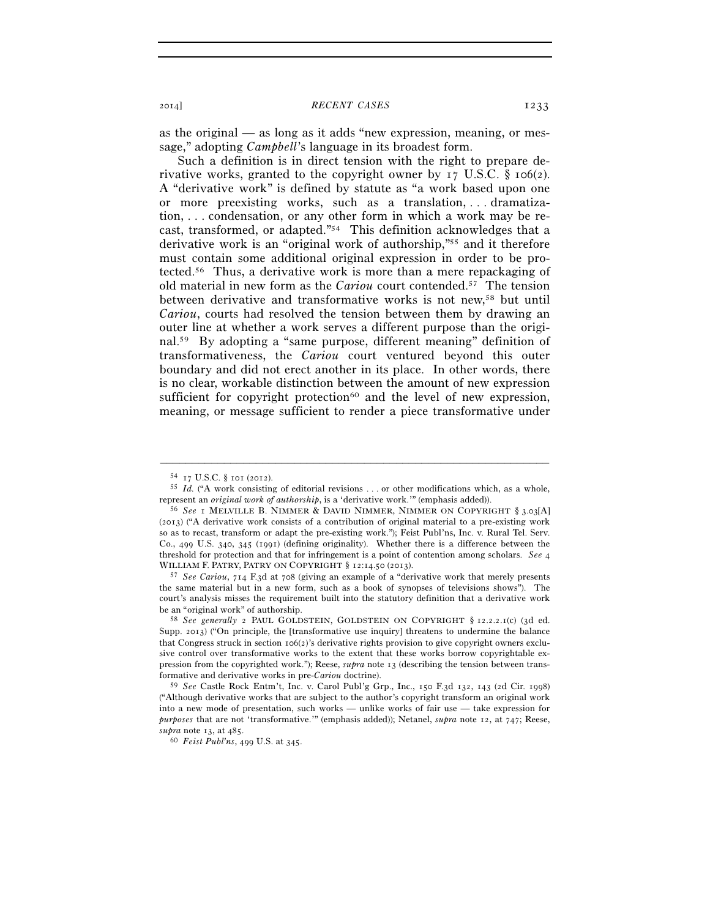as the original — as long as it adds "new expression, meaning, or message," adopting *Campbell*'s language in its broadest form.

Such a definition is in direct tension with the right to prepare derivative works, granted to the copyright owner by  $I_7$  U.S.C. § 106(2). A "derivative work" is defined by statute as "a work based upon one or more preexisting works, such as a translation, . . . dramatization, . . . condensation, or any other form in which a work may be recast, transformed, or adapted."54 This definition acknowledges that a derivative work is an "original work of authorship,"55 and it therefore must contain some additional original expression in order to be protected.56 Thus, a derivative work is more than a mere repackaging of old material in new form as the *Cariou* court contended.57 The tension between derivative and transformative works is not new,<sup>58</sup> but until *Cariou*, courts had resolved the tension between them by drawing an outer line at whether a work serves a different purpose than the original.59 By adopting a "same purpose, different meaning" definition of transformativeness, the *Cariou* court ventured beyond this outer boundary and did not erect another in its place. In other words, there is no clear, workable distinction between the amount of new expression sufficient for copyright protection $60$  and the level of new expression, meaning, or message sufficient to render a piece transformative under

<sup>&</sup>lt;sup>54</sup> 17 U.S.C. § 101 (2012).<br><sup>55</sup> *Id.* ("A work consisting of editorial revisions . . . or other modifications which, as a whole, represent an *original work of authorship*, is a 'derivative work.'" (emphasis added)).

<sup>&</sup>lt;sup>56</sup> See I MELVILLE B. NIMMER & DAVID NIMMER, NIMMER ON COPYRIGHT § 3.03[A] (2013) ("A derivative work consists of a contribution of original material to a pre-existing work so as to recast, transform or adapt the pre-existing work."); Feist Publ'ns, Inc. v. Rural Tel. Serv. Co., 499 U.S. 340, 345 (1991) (defining originality). Whether there is a difference between the threshold for protection and that for infringement is a point of contention among scholars. *See* 4 WILLIAM F. PATRY, PATRY ON COPYRIGHT § 12:14.50 (2013). 57 *See Cariou*, 714 F.3d at 708 (giving an example of a "derivative work that merely presents

the same material but in a new form, such as a book of synopses of televisions shows"). The court's analysis misses the requirement built into the statutory definition that a derivative work be an "original work" of authorship. 58 *See generally* <sup>2</sup> PAUL GOLDSTEIN, GOLDSTEIN ON COPYRIGHT § 12.2.2.1(c) (3d ed.

Supp. 2013) ("On principle, the [transformative use inquiry] threatens to undermine the balance that Congress struck in section 106(2)'s derivative rights provision to give copyright owners exclusive control over transformative works to the extent that these works borrow copyrightable expression from the copyrighted work."); Reese, *supra* note 13 (describing the tension between transformative and derivative works in pre-*Cariou* doctrine).

<sup>59</sup> *See* Castle Rock Entm't, Inc. v. Carol Publ'g Grp., Inc., 150 F.3d 132, 143 (2d Cir. 1998) ("Although derivative works that are subject to the author's copyright transform an original work into a new mode of presentation, such works — unlike works of fair use — take expression for *purposes* that are not 'transformative.'" (emphasis added)); Netanel, *supra* note 12, at 747; Reese, *supra* note 13, at 485. 60 *Feist Publ'ns*, 499 U.S. at 345.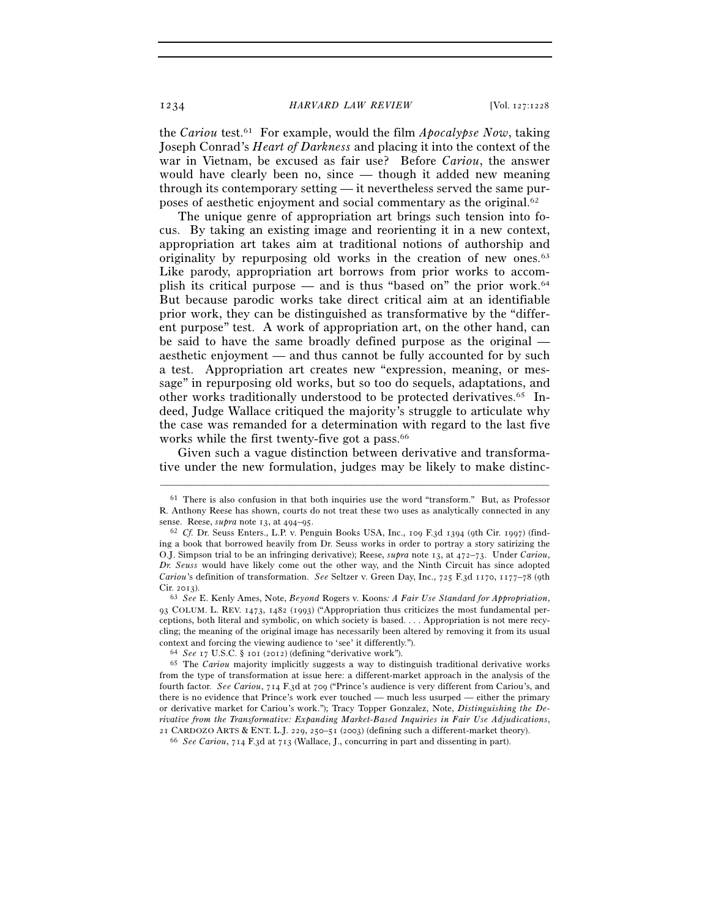1234 *HARVARD LAW REVIEW* [Vol. 127:1228

the *Cariou* test.61 For example, would the film *Apocalypse Now*, taking Joseph Conrad's *Heart of Darkness* and placing it into the context of the war in Vietnam, be excused as fair use? Before *Cariou*, the answer would have clearly been no, since — though it added new meaning through its contemporary setting — it nevertheless served the same purposes of aesthetic enjoyment and social commentary as the original.62

The unique genre of appropriation art brings such tension into focus. By taking an existing image and reorienting it in a new context, appropriation art takes aim at traditional notions of authorship and originality by repurposing old works in the creation of new ones.<sup>63</sup> Like parody, appropriation art borrows from prior works to accomplish its critical purpose — and is thus "based on" the prior work.<sup>64</sup> But because parodic works take direct critical aim at an identifiable prior work, they can be distinguished as transformative by the "different purpose" test. A work of appropriation art, on the other hand, can be said to have the same broadly defined purpose as the original aesthetic enjoyment — and thus cannot be fully accounted for by such a test. Appropriation art creates new "expression, meaning, or message" in repurposing old works, but so too do sequels, adaptations, and other works traditionally understood to be protected derivatives.65 Indeed, Judge Wallace critiqued the majority's struggle to articulate why the case was remanded for a determination with regard to the last five works while the first twenty-five got a pass.<sup>66</sup>

Given such a vague distinction between derivative and transformative under the new formulation, judges may be likely to make distinc-

 $61$  There is also confusion in that both inquiries use the word "transform." But, as Professor R. Anthony Reese has shown, courts do not treat these two uses as analytically connected in any sense. Reese,  $\text{supra}$  note 13, at 494–95.

<sup>&</sup>lt;sup>62</sup> Cf. Dr. Seuss Enters., L.P. v. Penguin Books USA, Inc., 109 F.3d 1394 (9th Cir. 1997) (finding a book that borrowed heavily from Dr. Seuss works in order to portray a story satirizing the O.J. Simpson trial to be an infringing derivative); Reese, *supra* note 13, at 472–73. Under *Cariou*, *Dr. Seuss* would have likely come out the other way, and the Ninth Circuit has since adopted *Cariou*'s definition of transformation. *See* Seltzer v. Green Day, Inc., 725 F.3d 1170, 1177–78 (9th Cir. 2013). 63 *See* E. Kenly Ames, Note, *Beyond* Rogers v. Koons*: A Fair Use Standard for Appropriation*,

<sup>93</sup> COLUM. L. REV. 1473, 1482 (1993) ("Appropriation thus criticizes the most fundamental perceptions, both literal and symbolic, on which society is based. . . . Appropriation is not mere recycling; the meaning of the original image has necessarily been altered by removing it from its usual % context and forcing the viewing audience to 'see' it differently.").<br>  $64$  See 17 U.S.C. § 101 (2012) (defining "derivative work").<br>  $65$  The *Cariou* majority implicitly suggests a way to distinguish traditional deriva

from the type of transformation at issue here: a different-market approach in the analysis of the fourth factor. *See Cariou*, 714 F.3d at 709 ("Prince's audience is very different from Cariou's, and there is no evidence that Prince's work ever touched — much less usurped — either the primary or derivative market for Cariou's work."); Tracy Topper Gonzalez, Note, *Distinguishing the Derivative from the Transformative: Expanding Market-Based Inquiries in Fair Use Adjudications*, <sup>21</sup> CARDOZO ARTS & ENT. L.J. 229, 250–51 (2003) (defining such a different-market theory). 66 *See Cariou*, 714 F.3d at 713 (Wallace, J., concurring in part and dissenting in part).